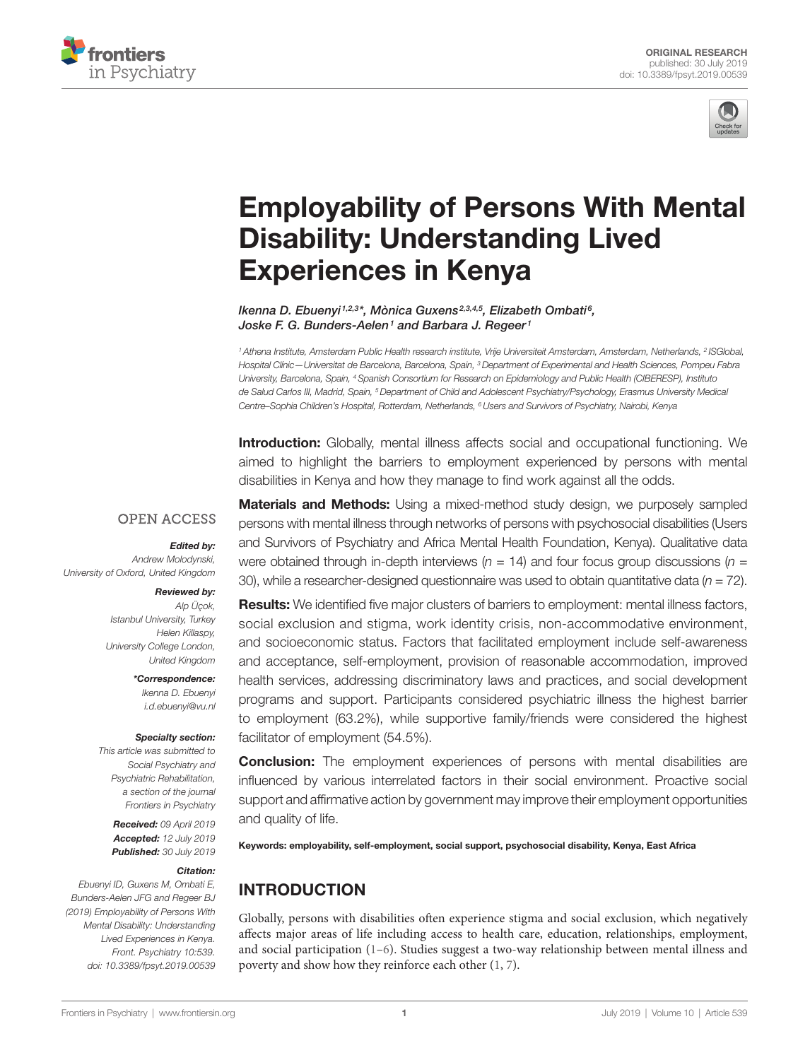



# [Employability of Persons With Mental](https://www.frontiersin.org/article/10.3389/fpsyt.2019.00539/full)  [Disability: Understanding Lived](https://www.frontiersin.org/article/10.3389/fpsyt.2019.00539/full)  [Experiences in Kenya](https://www.frontiersin.org/article/10.3389/fpsyt.2019.00539/full)

*[Ikenna D. Ebuenyi](https://loop.frontiersin.org/people/585060)1,2,3\*, Mònica Guxens2,3,4,5, Elizabeth Ombati6, Joske F. G. Bunders-Aelen1 and [Barbara J. Regeer](https://loop.frontiersin.org/people/710713)1*

*1 Athena Institute, Amsterdam Public Health research institute, Vrije Universiteit Amsterdam, Amsterdam, Netherlands, 2 ISGlobal, Hospital Clínic—Universitat de Barcelona, Barcelona, Spain, 3 Department of Experimental and Health Sciences, Pompeu Fabra University, Barcelona, Spain, 4 Spanish Consortium for Research on Epidemiology and Public Health (CIBERESP), Instituto de Salud Carlos III, Madrid, Spain, 5 Department of Child and Adolescent Psychiatry/Psychology, Erasmus University Medical Centre–Sophia Children's Hospital, Rotterdam, Netherlands, 6 Users and Survivors of Psychiatry, Nairobi, Kenya*

**Introduction:** Globally, mental illness affects social and occupational functioning. We aimed to highlight the barriers to employment experienced by persons with mental disabilities in Kenya and how they manage to find work against all the odds.

### **OPEN ACCESS**

#### *Edited by:*

*Andrew Molodynski, University of Oxford, United Kingdom*

#### *Reviewed by:*

*Alp Üçok, Istanbul University, Turkey Helen Killaspy, University College London, United Kingdom*

> *\*Correspondence: Ikenna D. Ebuenyi [i.d.ebuenyi@vu.nl](mailto:i.d.ebuenyi@vu.nl)*

#### *Specialty section:*

*This article was submitted to Social Psychiatry and Psychiatric Rehabilitation, a section of the journal Frontiers in Psychiatry*

> *Received: 09 April 2019 Accepted: 12 July 2019 Published: 30 July 2019*

#### *Citation:*

*Ebuenyi ID, Guxens M, Ombati E, Bunders-Aelen JFG and Regeer BJ (2019) Employability of Persons With Mental Disability: Understanding Lived Experiences in Kenya. Front. Psychiatry 10:539. doi: [10.3389/fpsyt.2019.00539](https://doi.org/10.3389/fpsyt.2019.00539)*

**Materials and Methods:** Using a mixed-method study design, we purposely sampled persons with mental illness through networks of persons with psychosocial disabilities (Users and Survivors of Psychiatry and Africa Mental Health Foundation, Kenya). Qualitative data were obtained through in-depth interviews (*n* = 14) and four focus group discussions (*n* = 30), while a researcher-designed questionnaire was used to obtain quantitative data (*n* = 72).

**Results:** We identified five major clusters of barriers to employment: mental illness factors, social exclusion and stigma, work identity crisis, non-accommodative environment, and socioeconomic status. Factors that facilitated employment include self-awareness and acceptance, self-employment, provision of reasonable accommodation, improved health services, addressing discriminatory laws and practices, and social development programs and support. Participants considered psychiatric illness the highest barrier to employment (63.2%), while supportive family/friends were considered the highest facilitator of employment (54.5%).

**Conclusion:** The employment experiences of persons with mental disabilities are influenced by various interrelated factors in their social environment. Proactive social support and affirmative action by government may improve their employment opportunities and quality of life.

Keywords: employability, self-employment, social support, psychosocial disability, Kenya, East Africa

## INTRODUCTION

Globally, persons with disabilities often experience stigma and social exclusion, which negatively affects major areas of life including access to health care, education, relationships, employment, and social participation  $(1-6)$  $(1-6)$  $(1-6)$ . Studies suggest a two-way relationship between mental illness and poverty and show how they reinforce each other [\(1,](#page-10-0) [7\)](#page-10-2).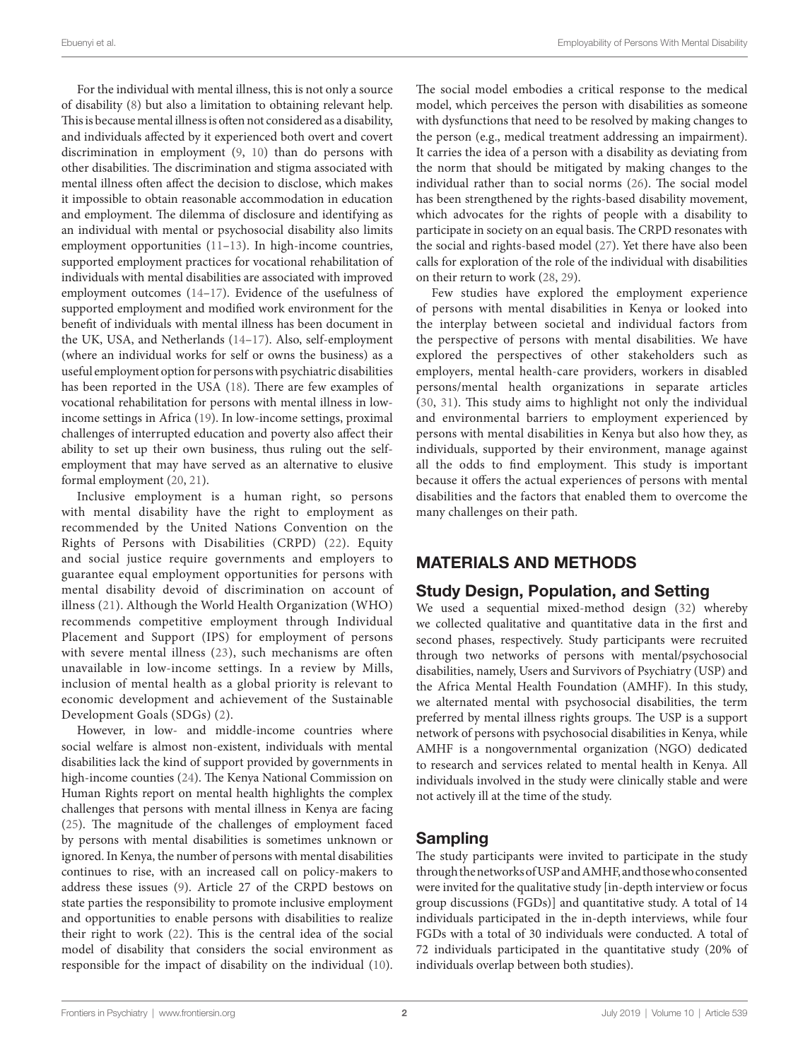For the individual with mental illness, this is not only a source of disability [\(8\)](#page-11-0) but also a limitation to obtaining relevant help. This is because mental illness is often not considered as a disability, and individuals affected by it experienced both overt and covert discrimination in employment ([9](#page-11-1), [10\)](#page-11-2) than do persons with other disabilities. The discrimination and stigma associated with mental illness often affect the decision to disclose, which makes it impossible to obtain reasonable accommodation in education and employment. The dilemma of disclosure and identifying as an individual with mental or psychosocial disability also limits employment opportunities ([11–](#page-11-3)[13\)](#page-11-4). In high-income countries, supported employment practices for vocational rehabilitation of individuals with mental disabilities are associated with improved employment outcomes [\(14](#page-11-5)[–17\)](#page-11-6). Evidence of the usefulness of supported employment and modified work environment for the benefit of individuals with mental illness has been document in the UK, USA, and Netherlands [\(14](#page-11-5)[–17\)](#page-11-6). Also, self-employment (where an individual works for self or owns the business) as a useful employment option for persons with psychiatric disabilities has been reported in the USA [\(18](#page-11-7)). There are few examples of vocational rehabilitation for persons with mental illness in lowincome settings in Africa [\(19](#page-11-8)). In low-income settings, proximal challenges of interrupted education and poverty also affect their ability to set up their own business, thus ruling out the selfemployment that may have served as an alternative to elusive formal employment ([20,](#page-11-9) [21](#page-11-10)).

Inclusive employment is a human right, so persons with mental disability have the right to employment as recommended by the United Nations Convention on the Rights of Persons with Disabilities (CRPD) ([22](#page-11-11)). Equity and social justice require governments and employers to guarantee equal employment opportunities for persons with mental disability devoid of discrimination on account of illness ([21](#page-11-10)). Although the World Health Organization (WHO) recommends competitive employment through Individual Placement and Support (IPS) for employment of persons with severe mental illness [\(23\)](#page-11-12), such mechanisms are often unavailable in low-income settings. In a review by Mills, inclusion of mental health as a global priority is relevant to economic development and achievement of the Sustainable Development Goals (SDGs) ([2\)](#page-10-3).

However, in low- and middle-income countries where social welfare is almost non-existent, individuals with mental disabilities lack the kind of support provided by governments in high-income counties ([24\)](#page-11-13). The Kenya National Commission on Human Rights report on mental health highlights the complex challenges that persons with mental illness in Kenya are facing [\(25](#page-11-14)). The magnitude of the challenges of employment faced by persons with mental disabilities is sometimes unknown or ignored. In Kenya, the number of persons with mental disabilities continues to rise, with an increased call on policy-makers to address these issues ([9](#page-11-1)). Article 27 of the CRPD bestows on state parties the responsibility to promote inclusive employment and opportunities to enable persons with disabilities to realize their right to work ([22](#page-11-11)). This is the central idea of the social model of disability that considers the social environment as responsible for the impact of disability on the individual [\(10](#page-11-2)). The social model embodies a critical response to the medical model, which perceives the person with disabilities as someone with dysfunctions that need to be resolved by making changes to the person (e.g., medical treatment addressing an impairment). It carries the idea of a person with a disability as deviating from the norm that should be mitigated by making changes to the individual rather than to social norms [\(26](#page-11-15)). The social model has been strengthened by the rights-based disability movement, which advocates for the rights of people with a disability to participate in society on an equal basis. The CRPD resonates with the social and rights-based model ([27\)](#page-11-16). Yet there have also been calls for exploration of the role of the individual with disabilities on their return to work [\(28](#page-11-17), [29\)](#page-11-18).

Few studies have explored the employment experience of persons with mental disabilities in Kenya or looked into the interplay between societal and individual factors from the perspective of persons with mental disabilities. We have explored the perspectives of other stakeholders such as employers, mental health-care providers, workers in disabled persons/mental health organizations in separate articles [\(30,](#page-11-19) [31](#page-11-20)). This study aims to highlight not only the individual and environmental barriers to employment experienced by persons with mental disabilities in Kenya but also how they, as individuals, supported by their environment, manage against all the odds to find employment. This study is important because it offers the actual experiences of persons with mental disabilities and the factors that enabled them to overcome the many challenges on their path.

## MATERIALS AND METHODS

### Study Design, Population, and Setting

We used a sequential mixed-method design [\(32](#page-11-21)) whereby we collected qualitative and quantitative data in the first and second phases, respectively. Study participants were recruited through two networks of persons with mental/psychosocial disabilities, namely, Users and Survivors of Psychiatry (USP) and the Africa Mental Health Foundation (AMHF). In this study, we alternated mental with psychosocial disabilities, the term preferred by mental illness rights groups. The USP is a support network of persons with psychosocial disabilities in Kenya, while AMHF is a nongovernmental organization (NGO) dedicated to research and services related to mental health in Kenya. All individuals involved in the study were clinically stable and were not actively ill at the time of the study.

## Sampling

The study participants were invited to participate in the study through the networks of USP and AMHF, and those who consented were invited for the qualitative study [in-depth interview or focus group discussions (FGDs)] and quantitative study. A total of 14 individuals participated in the in-depth interviews, while four FGDs with a total of 30 individuals were conducted. A total of 72 individuals participated in the quantitative study (20% of individuals overlap between both studies).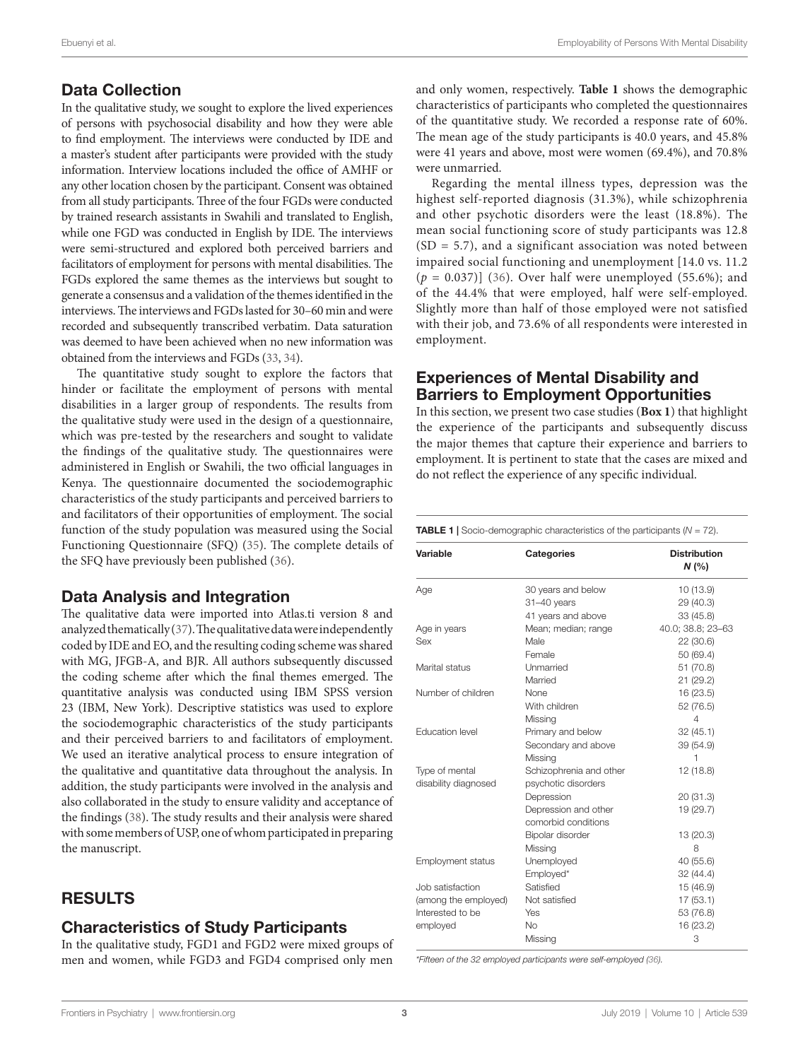## Data Collection

In the qualitative study, we sought to explore the lived experiences of persons with psychosocial disability and how they were able to find employment. The interviews were conducted by IDE and a master's student after participants were provided with the study information. Interview locations included the office of AMHF or any other location chosen by the participant. Consent was obtained from all study participants. Three of the four FGDs were conducted by trained research assistants in Swahili and translated to English, while one FGD was conducted in English by IDE. The interviews were semi-structured and explored both perceived barriers and facilitators of employment for persons with mental disabilities. The FGDs explored the same themes as the interviews but sought to generate a consensus and a validation of the themes identified in the interviews. The interviews and FGDs lasted for 30–60 min and were recorded and subsequently transcribed verbatim. Data saturation was deemed to have been achieved when no new information was obtained from the interviews and FGDs ([33,](#page-11-22) [34](#page-11-23)).

The quantitative study sought to explore the factors that hinder or facilitate the employment of persons with mental disabilities in a larger group of respondents. The results from the qualitative study were used in the design of a questionnaire, which was pre-tested by the researchers and sought to validate the findings of the qualitative study. The questionnaires were administered in English or Swahili, the two official languages in Kenya. The questionnaire documented the sociodemographic characteristics of the study participants and perceived barriers to and facilitators of their opportunities of employment. The social function of the study population was measured using the Social Functioning Questionnaire (SFQ) [\(35\)](#page-11-24). The complete details of the SFQ have previously been published ([36\)](#page-11-25).

## Data Analysis and Integration

The qualitative data were imported into Atlas.ti version 8 and analyzed thematically [\(37](#page-11-26)). The qualitative data were independently coded by IDE and EO, and the resulting coding scheme was shared with MG, JFGB-A, and BJR. All authors subsequently discussed the coding scheme after which the final themes emerged. The quantitative analysis was conducted using IBM SPSS version 23 (IBM, New York). Descriptive statistics was used to explore the sociodemographic characteristics of the study participants and their perceived barriers to and facilitators of employment. We used an iterative analytical process to ensure integration of the qualitative and quantitative data throughout the analysis. In addition, the study participants were involved in the analysis and also collaborated in the study to ensure validity and acceptance of the findings [\(38\)](#page-11-27). The study results and their analysis were shared with some members of USP, one of whom participated in preparing the manuscript.

## RESULTS

## Characteristics of Study Participants

In the qualitative study, FGD1 and FGD2 were mixed groups of men and women, while FGD3 and FGD4 comprised only men and only women, respectively. **[Table 1](#page-2-0)** shows the demographic characteristics of participants who completed the questionnaires of the quantitative study. We recorded a response rate of 60%. The mean age of the study participants is 40.0 years, and 45.8% were 41 years and above, most were women (69.4%), and 70.8% were unmarried.

Regarding the mental illness types, depression was the highest self-reported diagnosis (31.3%), while schizophrenia and other psychotic disorders were the least (18.8%). The mean social functioning score of study participants was 12.8  $(SD = 5.7)$ , and a significant association was noted between impaired social functioning and unemployment [14.0 vs. 11.2  $(p = 0.037)$ ] [\(36\)](#page-11-25). Over half were unemployed (55.6%); and of the 44.4% that were employed, half were self-employed. Slightly more than half of those employed were not satisfied with their job, and 73.6% of all respondents were interested in employment.

## Experiences of Mental Disability and Barriers to Employment Opportunities

In this section, we present two case studies (**[Box 1](#page-3-0)**) that highlight the experience of the participants and subsequently discuss the major themes that capture their experience and barriers to employment. It is pertinent to state that the cases are mixed and do not reflect the experience of any specific individual.

#### <span id="page-2-0"></span>TABLE 1 | Socio-demographic characteristics of the participants (*N* = 72).

| Variable                 | <b>Categories</b>       | <b>Distribution</b><br>N(% |
|--------------------------|-------------------------|----------------------------|
| Age                      | 30 years and below      | 10(13.9)                   |
|                          | 31-40 years             | 29 (40.3)                  |
|                          | 41 years and above      | 33(45.8)                   |
| Age in years             | Mean; median; range     | 40.0; 38.8; 23-63          |
| Sex                      | Male                    | 22 (30.6)                  |
|                          | Female                  | 50 (69.4)                  |
| Marital status           | Unmarried               | 51 (70.8)                  |
|                          | Married                 | 21(29.2)                   |
| Number of children       | None                    | 16 (23.5)                  |
|                          | With children           | 52 (76.5)                  |
|                          | Missing                 | 4                          |
| <b>Education level</b>   | Primary and below       | 32(45.1)                   |
|                          | Secondary and above     | 39 (54.9)                  |
|                          | Missing                 | 1                          |
| Type of mental           | Schizophrenia and other | 12(18.8)                   |
| disability diagnosed     | psychotic disorders     |                            |
|                          | Depression              | 20 (31.3)                  |
|                          | Depression and other    | 19 (29.7)                  |
|                          | comorbid conditions     |                            |
|                          | Bipolar disorder        | 13 (20.3)                  |
|                          | Missing                 | 8                          |
| <b>Employment status</b> | Unemployed              | 40 (55.6)                  |
|                          | Employed*               | 32 (44.4)                  |
| Job satisfaction         | Satisfied               | 15 (46.9)                  |
| (among the employed)     | Not satisfied           | 17(53.1)                   |
| Interested to be         | Yes                     | 53 (76.8)                  |
| employed                 | <b>No</b>               | 16 (23.2)                  |
|                          | Missing                 | 3                          |

*\*Fifteen of the 32 employed participants were self-employed ([36](#page-11-25)).*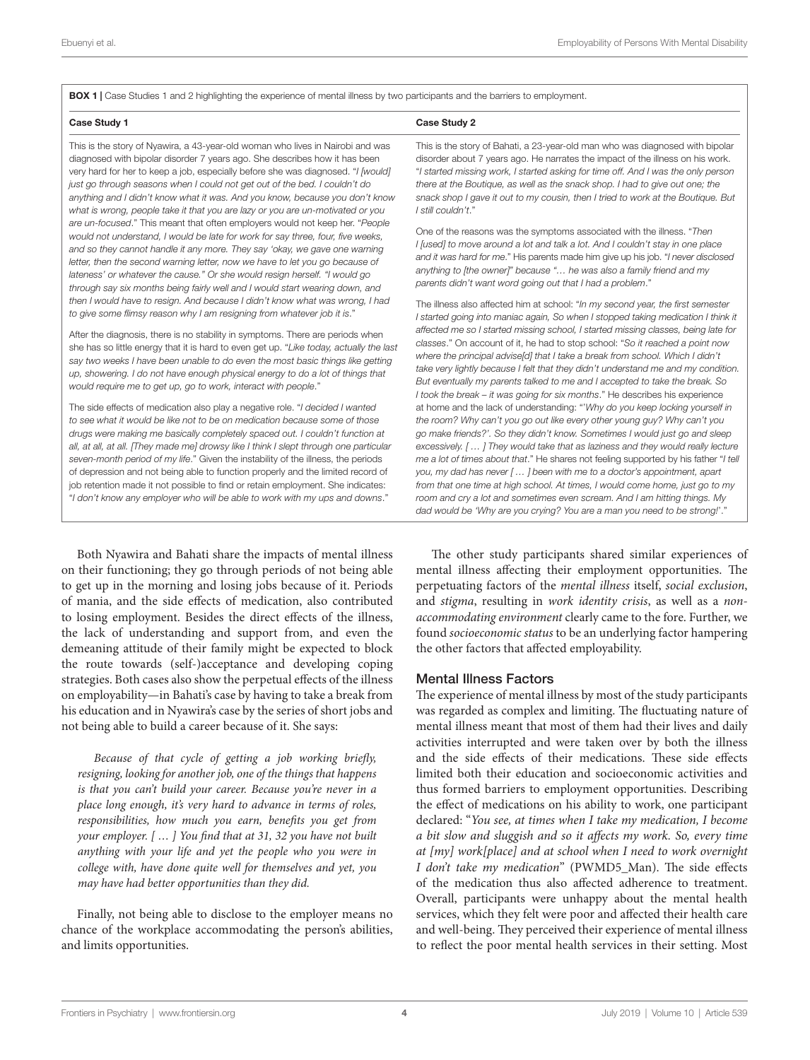<span id="page-3-0"></span>BOX 1 | Case Studies 1 and 2 highlighting the experience of mental illness by two participants and the barriers to employment.

This is the story of Nyawira, a 43-year-old woman who lives in Nairobi and was diagnosed with bipolar disorder 7 years ago. She describes how it has been very hard for her to keep a job, especially before she was diagnosed. "*I [would] just go through seasons when I could not get out of the bed. I couldn't do anything and I didn't know what it was. And you know, because you don't know what is wrong, people take it that you are lazy or you are un-motivated or you are un-focused*." This meant that often employers would not keep her. "*People would not understand, I would be late for work for say three, four, five weeks, and so they cannot handle it any more. They say 'okay, we gave one warning*  letter, then the second warning letter, now we have to let you go because of *lateness' or whatever the cause." Or she would resign herself. "I would go through say six months being fairly well and I would start wearing down, and then I would have to resign. And because I didn't know what was wrong, I had to give some flimsy reason why I am resigning from whatever job it is*."

After the diagnosis, there is no stability in symptoms. There are periods when she has so little energy that it is hard to even get up. "*Like today, actually the last*  say two weeks I have been unable to do even the most basic things like getting *up, showering. I do not have enough physical energy to do a lot of things that would require me to get up, go to work, interact with people*."

The side effects of medication also play a negative role. "*I decided I wanted to see what it would be like not to be on medication because some of those drugs were making me basically completely spaced out. I couldn't function at*  all, at all, at all. [They made me] drowsy like I think I slept through one particular *seven-month period of my life*." Given the instability of the illness, the periods of depression and not being able to function properly and the limited record of job retention made it not possible to find or retain employment. She indicates: "*I don't know any employer who will be able to work with my ups and downs*."

Both Nyawira and Bahati share the impacts of mental illness on their functioning; they go through periods of not being able to get up in the morning and losing jobs because of it. Periods of mania, and the side effects of medication, also contributed to losing employment. Besides the direct effects of the illness, the lack of understanding and support from, and even the demeaning attitude of their family might be expected to block the route towards (self-)acceptance and developing coping strategies. Both cases also show the perpetual effects of the illness on employability—in Bahati's case by having to take a break from his education and in Nyawira's case by the series of short jobs and not being able to build a career because of it. She says:

*Because of that cycle of getting a job working briefly, resigning, looking for another job, one of the things that happens is that you can't build your career. Because you're never in a place long enough, it's very hard to advance in terms of roles, responsibilities, how much you earn, benefits you get from your employer. [ … ] You find that at 31, 32 you have not built anything with your life and yet the people who you were in college with, have done quite well for themselves and yet, you may have had better opportunities than they did.*

Finally, not being able to disclose to the employer means no chance of the workplace accommodating the person's abilities, and limits opportunities.

#### **Case Study 1** Case Study 2

This is the story of Bahati, a 23-year-old man who was diagnosed with bipolar disorder about 7 years ago. He narrates the impact of the illness on his work. "*I started missing work, I started asking for time off. And I was the only person there at the Boutique, as well as the snack shop. I had to give out one; the snack shop I gave it out to my cousin, then I tried to work at the Boutique. But I still couldn't*."

One of the reasons was the symptoms associated with the illness. "*Then I [used] to move around a lot and talk a lot. And I couldn't stay in one place and it was hard for me*." His parents made him give up his job. "*I never disclosed anything to [the owner]" because "… he was also a family friend and my parents didn't want word going out that I had a problem*."

The illness also affected him at school: "*In my second year, the first semester I* started going into maniac again, So when I stopped taking medication I think it *affected me so I started missing school, I started missing classes, being late for classes*." On account of it, he had to stop school: "*So it reached a point now*  where the principal advise[d] that I take a break from school. Which I didn't *take very lightly because I felt that they didn't understand me and my condition. But eventually my parents talked to me and I accepted to take the break. So I took the break – it was going for six months*." He describes his experience at home and the lack of understanding: "'*Why do you keep locking yourself in the room? Why can't you go out like every other young guy? Why can't you go make friends?'. So they didn't know. Sometimes I would just go and sleep excessively. [ … ] They would take that as laziness and they would really lecture me a lot of times about that*." He shares not feeling supported by his father "*I tell you, my dad has never [ … ] been with me to a doctor's appointment, apart from that one time at high school. At times, I would come home, just go to my room and cry a lot and sometimes even scream. And I am hitting things. My dad would be 'Why are you crying? You are a man you need to be strong!*'."

The other study participants shared similar experiences of mental illness affecting their employment opportunities. The perpetuating factors of the *mental illness* itself, *social exclusion*, and *stigma*, resulting in *work identity crisis*, as well as a *nonaccommodating environment* clearly came to the fore. Further, we found *socioeconomic status* to be an underlying factor hampering the other factors that affected employability.

#### Mental Illness Factors

The experience of mental illness by most of the study participants was regarded as complex and limiting. The fluctuating nature of mental illness meant that most of them had their lives and daily activities interrupted and were taken over by both the illness and the side effects of their medications. These side effects limited both their education and socioeconomic activities and thus formed barriers to employment opportunities. Describing the effect of medications on his ability to work, one participant declared: "*You see, at times when I take my medication, I become a bit slow and sluggish and so it affects my work. So, every time at [my] work[place] and at school when I need to work overnight I don't take my medication*" (PWMD5\_Man). The side effects of the medication thus also affected adherence to treatment. Overall, participants were unhappy about the mental health services, which they felt were poor and affected their health care and well-being. They perceived their experience of mental illness to reflect the poor mental health services in their setting. Most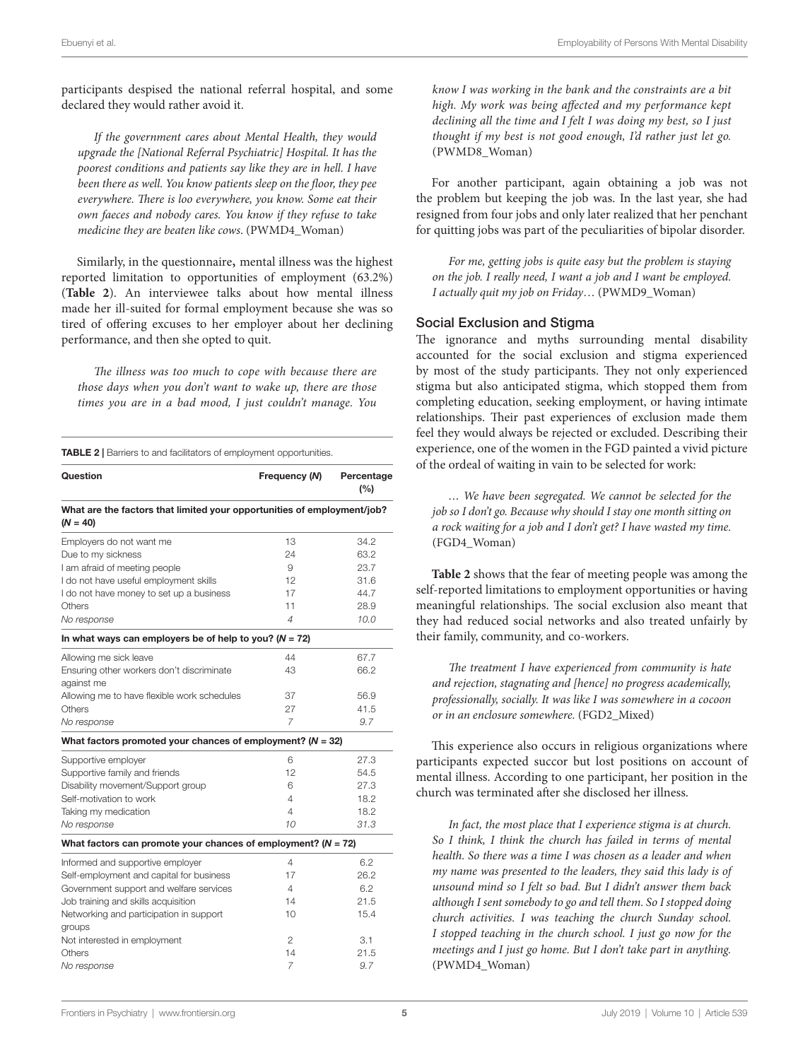participants despised the national referral hospital, and some declared they would rather avoid it.

*If the government cares about Mental Health, they would upgrade the [National Referral Psychiatric] Hospital. It has the poorest conditions and patients say like they are in hell. I have been there as well. You know patients sleep on the floor, they pee everywhere. There is loo everywhere, you know. Some eat their own faeces and nobody cares. You know if they refuse to take medicine they are beaten like cows*. (PWMD4\_Woman)

Similarly, in the questionnaire, mental illness was the highest reported limitation to opportunities of employment (63.2%) (**[Table 2](#page-4-0)**). An interviewee talks about how mental illness made her ill-suited for formal employment because she was so tired of offering excuses to her employer about her declining performance, and then she opted to quit.

*The illness was too much to cope with because there are those days when you don't want to wake up, there are those times you are in a bad mood, I just couldn't manage. You* 

<span id="page-4-0"></span>TABLE 2 | Barriers to and facilitators of employment opportunities.

| Question                                                                              | Frequency (N)  | Percentage<br>(%) |
|---------------------------------------------------------------------------------------|----------------|-------------------|
| What are the factors that limited your opportunities of employment/job?<br>$(N = 40)$ |                |                   |
| Employers do not want me                                                              | 13             | 34.2              |
| Due to my sickness                                                                    | 24             | 63.2              |
| I am afraid of meeting people                                                         | 9              | 23.7              |
| I do not have useful employment skills                                                | 12             | 31.6              |
| I do not have money to set up a business                                              | 17             | 44.7              |
| Others                                                                                | 11             | 28.9              |
| No response                                                                           | 4              | 10.0              |
| In what ways can employers be of help to you? ( $N = 72$ )                            |                |                   |
| Allowing me sick leave                                                                | 44             | 67.7              |
| Ensuring other workers don't discriminate<br>against me                               | 43             | 66.2              |
| Allowing me to have flexible work schedules                                           | 37             | 56.9              |
| Others                                                                                | 27             | 41.5              |
| No response                                                                           | 7              | 9.7               |
| What factors promoted your chances of employment? ( $N = 32$ )                        |                |                   |
| Supportive employer                                                                   | 6              | 27.3              |
| Supportive family and friends                                                         | 12             | 54.5              |
| Disability movement/Support group                                                     | 6              | 27.3              |
| Self-motivation to work                                                               | 4              | 18.2              |
| Taking my medication                                                                  | 4              | 18.2              |
| No response                                                                           | 10             | 31.3              |
| What factors can promote your chances of employment? ( $N = 72$ )                     |                |                   |
| Informed and supportive employer                                                      | 4              | 6.2               |
| Self-employment and capital for business                                              | 17             | 26.2              |
| Government support and welfare services                                               | $\overline{4}$ | 6.2               |
| Job training and skills acquisition                                                   | 14             | 21.5              |
| Networking and participation in support<br>groups                                     | 10             | 15.4              |
| Not interested in employment                                                          | 2              | 3.1               |
| Others                                                                                | 14             | 21.5              |
| No response                                                                           | 7              | 9.7               |
|                                                                                       |                |                   |

*know I was working in the bank and the constraints are a bit high. My work was being affected and my performance kept declining all the time and I felt I was doing my best, so I just thought if my best is not good enough, I'd rather just let go.* (PWMD8\_Woman)

For another participant, again obtaining a job was not the problem but keeping the job was. In the last year, she had resigned from four jobs and only later realized that her penchant for quitting jobs was part of the peculiarities of bipolar disorder.

*For me, getting jobs is quite easy but the problem is staying on the job. I really need, I want a job and I want be employed. I actually quit my job on Friday*… (PWMD9\_Woman)

#### Social Exclusion and Stigma

The ignorance and myths surrounding mental disability accounted for the social exclusion and stigma experienced by most of the study participants. They not only experienced stigma but also anticipated stigma, which stopped them from completing education, seeking employment, or having intimate relationships. Their past experiences of exclusion made them feel they would always be rejected or excluded. Describing their experience, one of the women in the FGD painted a vivid picture of the ordeal of waiting in vain to be selected for work:

*… We have been segregated. We cannot be selected for the job so I don't go. Because why should I stay one month sitting on a rock waiting for a job and I don't get? I have wasted my time.* (FGD4\_Woman)

**[Table 2](#page-4-0)** shows that the fear of meeting people was among the self-reported limitations to employment opportunities or having meaningful relationships. The social exclusion also meant that they had reduced social networks and also treated unfairly by their family, community, and co-workers.

*The treatment I have experienced from community is hate and rejection, stagnating and [hence] no progress academically, professionally, socially. It was like I was somewhere in a cocoon or in an enclosure somewhere.* (FGD2\_Mixed)

This experience also occurs in religious organizations where participants expected succor but lost positions on account of mental illness. According to one participant, her position in the church was terminated after she disclosed her illness.

*In fact, the most place that I experience stigma is at church. So I think, I think the church has failed in terms of mental health. So there was a time I was chosen as a leader and when my name was presented to the leaders, they said this lady is of unsound mind so I felt so bad. But I didn't answer them back although I sent somebody to go and tell them. So I stopped doing church activities. I was teaching the church Sunday school. I stopped teaching in the church school. I just go now for the meetings and I just go home. But I don't take part in anything.* (PWMD4\_Woman)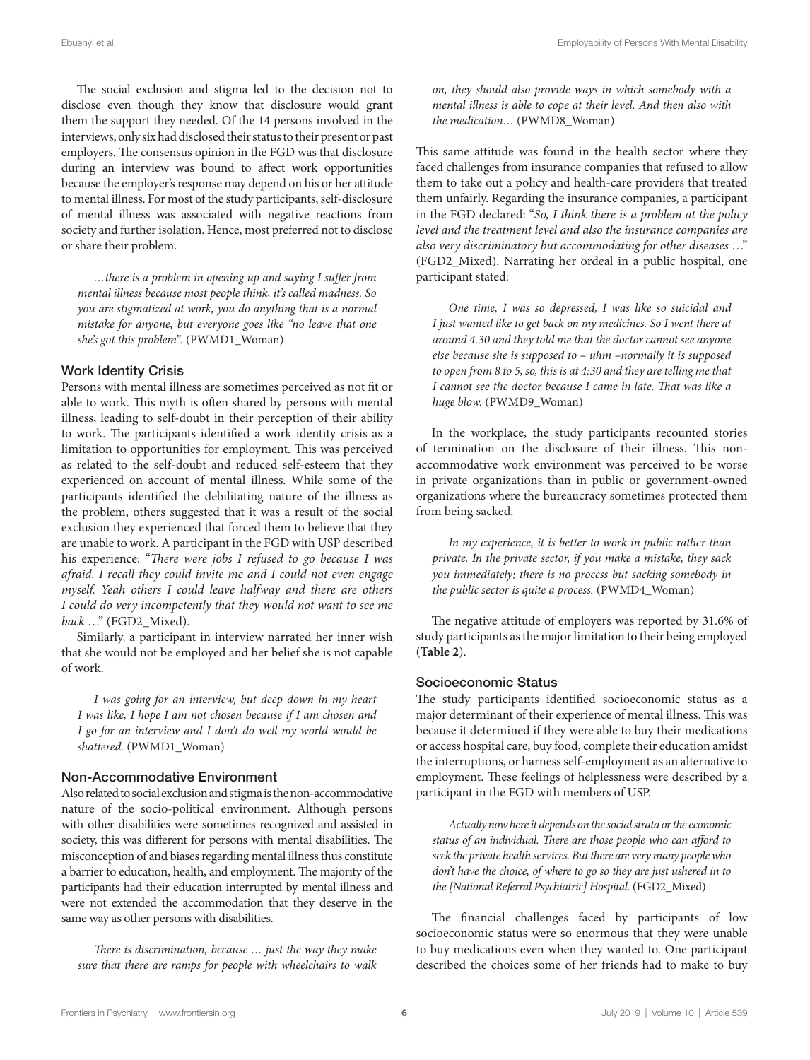The social exclusion and stigma led to the decision not to disclose even though they know that disclosure would grant them the support they needed. Of the 14 persons involved in the interviews, only six had disclosed their status to their present or past employers. The consensus opinion in the FGD was that disclosure during an interview was bound to affect work opportunities because the employer's response may depend on his or her attitude to mental illness. For most of the study participants, self-disclosure of mental illness was associated with negative reactions from society and further isolation. Hence, most preferred not to disclose or share their problem.

*…there is a problem in opening up and saying I suffer from mental illness because most people think, it's called madness. So you are stigmatized at work, you do anything that is a normal mistake for anyone, but everyone goes like "no leave that one she's got this problem".* (PWMD1\_Woman)

#### Work Identity Crisis

Persons with mental illness are sometimes perceived as not fit or able to work. This myth is often shared by persons with mental illness, leading to self-doubt in their perception of their ability to work. The participants identified a work identity crisis as a limitation to opportunities for employment. This was perceived as related to the self-doubt and reduced self-esteem that they experienced on account of mental illness. While some of the participants identified the debilitating nature of the illness as the problem, others suggested that it was a result of the social exclusion they experienced that forced them to believe that they are unable to work. A participant in the FGD with USP described his experience: "*There were jobs I refused to go because I was afraid. I recall they could invite me and I could not even engage myself. Yeah others I could leave halfway and there are others I could do very incompetently that they would not want to see me back* …" (FGD2\_Mixed).

Similarly, a participant in interview narrated her inner wish that she would not be employed and her belief she is not capable of work.

*I was going for an interview, but deep down in my heart I was like, I hope I am not chosen because if I am chosen and I go for an interview and I don't do well my world would be shattered.* (PWMD1\_Woman)

#### Non-Accommodative Environment

Also related to social exclusion and stigma is the non-accommodative nature of the socio-political environment. Although persons with other disabilities were sometimes recognized and assisted in society, this was different for persons with mental disabilities. The misconception of and biases regarding mental illness thus constitute a barrier to education, health, and employment. The majority of the participants had their education interrupted by mental illness and were not extended the accommodation that they deserve in the same way as other persons with disabilities.

*There is discrimination, because … just the way they make sure that there are ramps for people with wheelchairs to walk*  *on, they should also provide ways in which somebody with a mental illness is able to cope at their level. And then also with the medication…* (PWMD8\_Woman)

This same attitude was found in the health sector where they faced challenges from insurance companies that refused to allow them to take out a policy and health-care providers that treated them unfairly. Regarding the insurance companies, a participant in the FGD declared: "*So, I think there is a problem at the policy level and the treatment level and also the insurance companies are also very discriminatory but accommodating for other diseases* …" (FGD2\_Mixed). Narrating her ordeal in a public hospital, one participant stated:

*One time, I was so depressed, I was like so suicidal and I just wanted like to get back on my medicines. So I went there at around 4.30 and they told me that the doctor cannot see anyone else because she is supposed to – uhm –normally it is supposed to open from 8 to 5, so, this is at 4:30 and they are telling me that I cannot see the doctor because I came in late. That was like a huge blow.* (PWMD9\_Woman)

In the workplace, the study participants recounted stories of termination on the disclosure of their illness. This nonaccommodative work environment was perceived to be worse in private organizations than in public or government-owned organizations where the bureaucracy sometimes protected them from being sacked.

*In my experience, it is better to work in public rather than private. In the private sector, if you make a mistake, they sack you immediately; there is no process but sacking somebody in the public sector is quite a process.* (PWMD4\_Woman)

The negative attitude of employers was reported by 31.6% of study participants as the major limitation to their being employed (**[Table 2](#page-4-0)**).

#### Socioeconomic Status

The study participants identified socioeconomic status as a major determinant of their experience of mental illness. This was because it determined if they were able to buy their medications or access hospital care, buy food, complete their education amidst the interruptions, or harness self-employment as an alternative to employment. These feelings of helplessness were described by a participant in the FGD with members of USP.

*Actually now here it depends on the social strata or the economic status of an individual. There are those people who can afford to seek the private health services. But there are very many people who don't have the choice, of where to go so they are just ushered in to the [National Referral Psychiatric] Hospital.* (FGD2\_Mixed)

The financial challenges faced by participants of low socioeconomic status were so enormous that they were unable to buy medications even when they wanted to. One participant described the choices some of her friends had to make to buy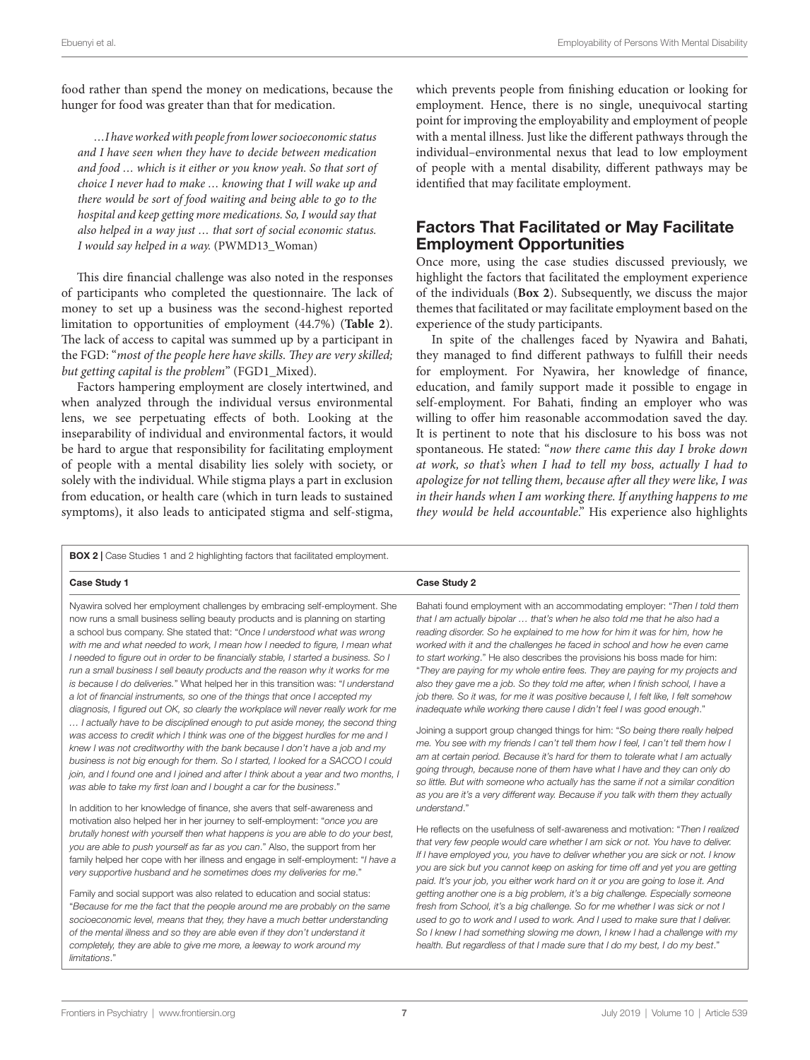food rather than spend the money on medications, because the hunger for food was greater than that for medication.

*…I have worked with people from lower socioeconomic status and I have seen when they have to decide between medication and food … which is it either or you know yeah. So that sort of choice I never had to make … knowing that I will wake up and there would be sort of food waiting and being able to go to the hospital and keep getting more medications. So, I would say that also helped in a way just … that sort of social economic status. I would say helped in a way.* (PWMD13\_Woman)

This dire financial challenge was also noted in the responses of participants who completed the questionnaire. The lack of money to set up a business was the second-highest reported limitation to opportunities of employment (44.7%) (**[Table 2](#page-4-0)**). The lack of access to capital was summed up by a participant in the FGD: "*most of the people here have skills. They are very skilled; but getting capital is the problem*" (FGD1\_Mixed).

Factors hampering employment are closely intertwined, and when analyzed through the individual versus environmental lens, we see perpetuating effects of both. Looking at the inseparability of individual and environmental factors, it would be hard to argue that responsibility for facilitating employment of people with a mental disability lies solely with society, or solely with the individual. While stigma plays a part in exclusion from education, or health care (which in turn leads to sustained symptoms), it also leads to anticipated stigma and self-stigma, which prevents people from finishing education or looking for employment. Hence, there is no single, unequivocal starting point for improving the employability and employment of people with a mental illness. Just like the different pathways through the individual–environmental nexus that lead to low employment of people with a mental disability, different pathways may be identified that may facilitate employment.

## Factors That Facilitated or May Facilitate Employment Opportunities

Once more, using the case studies discussed previously, we highlight the factors that facilitated the employment experience of the individuals (**[Box 2](#page-6-0)**). Subsequently, we discuss the major themes that facilitated or may facilitate employment based on the experience of the study participants.

In spite of the challenges faced by Nyawira and Bahati, they managed to find different pathways to fulfill their needs for employment. For Nyawira, her knowledge of finance, education, and family support made it possible to engage in self-employment. For Bahati, finding an employer who was willing to offer him reasonable accommodation saved the day. It is pertinent to note that his disclosure to his boss was not spontaneous. He stated: "*now there came this day I broke down at work, so that's when I had to tell my boss, actually I had to apologize for not telling them, because after all they were like, I was in their hands when I am working there. If anything happens to me they would be held accountable*." His experience also highlights

<span id="page-6-0"></span>BOX 2 | Case Studies 1 and 2 highlighting factors that facilitated employment.

*brutally honest with yourself then what happens is you are able to do your best, you are able to push yourself as far as you can*." Also, the support from her family helped her cope with her illness and engage in self-employment: "*I have a very supportive husband and he sometimes does my deliveries for me*." Family and social support was also related to education and social status: "*Because for me the fact that the people around me are probably on the same socioeconomic level, means that they, they have a much better understanding of the mental illness and so they are able even if they don't understand it completely, they are able to give me more, a leeway to work around my* 

He reflects on the usefulness of self-awareness and motivation: "*Then I realized that very few people would care whether I am sick or not. You have to deliver. If I have employed you, you have to deliver whether you are sick or not. I know you are sick but you cannot keep on asking for time off and yet you are getting paid. It's your job, you either work hard on it or you are going to lose it. And getting another one is a big problem, it's a big challenge. Especially someone fresh from School, it's a big challenge. So for me whether I was sick or not I used to go to work and I used to work. And I used to make sure that I deliver. So I knew I had something slowing me down, I knew I had a challenge with my health. But regardless of that I made sure that I do my best, I do my best*."

*limitations*."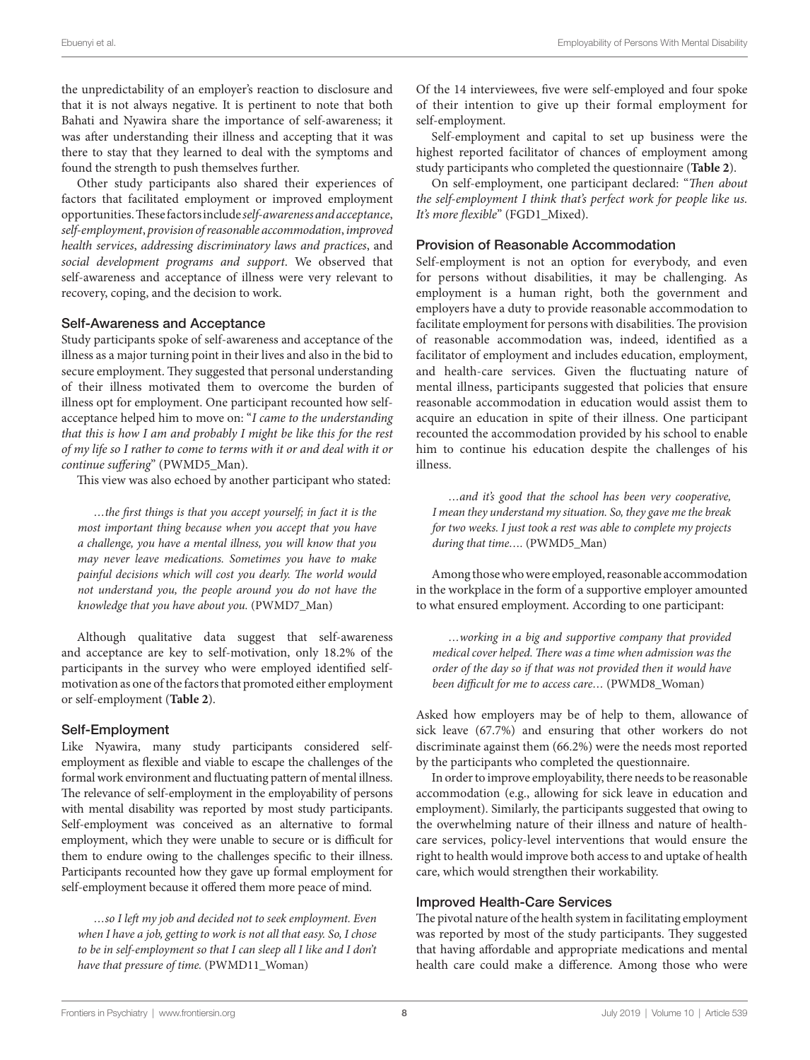the unpredictability of an employer's reaction to disclosure and that it is not always negative. It is pertinent to note that both Bahati and Nyawira share the importance of self-awareness; it was after understanding their illness and accepting that it was there to stay that they learned to deal with the symptoms and found the strength to push themselves further.

Other study participants also shared their experiences of factors that facilitated employment or improved employment opportunities. These factors include *self-awareness and acceptance*, *self-employment*, *provision of reasonable accommodation*, *improved health services*, *addressing discriminatory laws and practices*, and *social development programs and support*. We observed that self-awareness and acceptance of illness were very relevant to recovery, coping, and the decision to work.

#### Self-Awareness and Acceptance

Study participants spoke of self-awareness and acceptance of the illness as a major turning point in their lives and also in the bid to secure employment. They suggested that personal understanding of their illness motivated them to overcome the burden of illness opt for employment. One participant recounted how selfacceptance helped him to move on: "*I came to the understanding that this is how I am and probably I might be like this for the rest of my life so I rather to come to terms with it or and deal with it or continue suffering*" (PWMD5\_Man).

This view was also echoed by another participant who stated:

*…the first things is that you accept yourself; in fact it is the most important thing because when you accept that you have a challenge, you have a mental illness, you will know that you may never leave medications. Sometimes you have to make painful decisions which will cost you dearly. The world would not understand you, the people around you do not have the knowledge that you have about you.* (PWMD7\_Man)

Although qualitative data suggest that self-awareness and acceptance are key to self-motivation, only 18.2% of the participants in the survey who were employed identified selfmotivation as one of the factors that promoted either employment or self-employment (**[Table 2](#page-4-0)**).

#### Self-Employment

Like Nyawira, many study participants considered selfemployment as flexible and viable to escape the challenges of the formal work environment and fluctuating pattern of mental illness. The relevance of self-employment in the employability of persons with mental disability was reported by most study participants. Self-employment was conceived as an alternative to formal employment, which they were unable to secure or is difficult for them to endure owing to the challenges specific to their illness. Participants recounted how they gave up formal employment for self-employment because it offered them more peace of mind.

*…so I left my job and decided not to seek employment. Even when I have a job, getting to work is not all that easy. So, I chose*  to be in self-employment so that I can sleep all I like and I don't *have that pressure of time.* (PWMD11\_Woman)

Of the 14 interviewees, five were self-employed and four spoke of their intention to give up their formal employment for self-employment.

Self-employment and capital to set up business were the highest reported facilitator of chances of employment among study participants who completed the questionnaire (**[Table 2](#page-4-0)**).

On self-employment, one participant declared: "*Then about the self-employment I think that's perfect work for people like us. It's more flexible*" (FGD1\_Mixed).

#### Provision of Reasonable Accommodation

Self-employment is not an option for everybody, and even for persons without disabilities, it may be challenging. As employment is a human right, both the government and employers have a duty to provide reasonable accommodation to facilitate employment for persons with disabilities. The provision of reasonable accommodation was, indeed, identified as a facilitator of employment and includes education, employment, and health-care services. Given the fluctuating nature of mental illness, participants suggested that policies that ensure reasonable accommodation in education would assist them to acquire an education in spite of their illness. One participant recounted the accommodation provided by his school to enable him to continue his education despite the challenges of his illness.

*…and it's good that the school has been very cooperative, I mean they understand my situation. So, they gave me the break for two weeks. I just took a rest was able to complete my projects during that time….* (PWMD5\_Man)

Among those who were employed, reasonable accommodation in the workplace in the form of a supportive employer amounted to what ensured employment. According to one participant:

*…working in a big and supportive company that provided medical cover helped. There was a time when admission was the order of the day so if that was not provided then it would have been difficult for me to access care…* (PWMD8\_Woman)

Asked how employers may be of help to them, allowance of sick leave (67.7%) and ensuring that other workers do not discriminate against them (66.2%) were the needs most reported by the participants who completed the questionnaire.

In order to improve employability, there needs to be reasonable accommodation (e.g., allowing for sick leave in education and employment). Similarly, the participants suggested that owing to the overwhelming nature of their illness and nature of healthcare services, policy-level interventions that would ensure the right to health would improve both access to and uptake of health care, which would strengthen their workability.

#### Improved Health-Care Services

The pivotal nature of the health system in facilitating employment was reported by most of the study participants. They suggested that having affordable and appropriate medications and mental health care could make a difference. Among those who were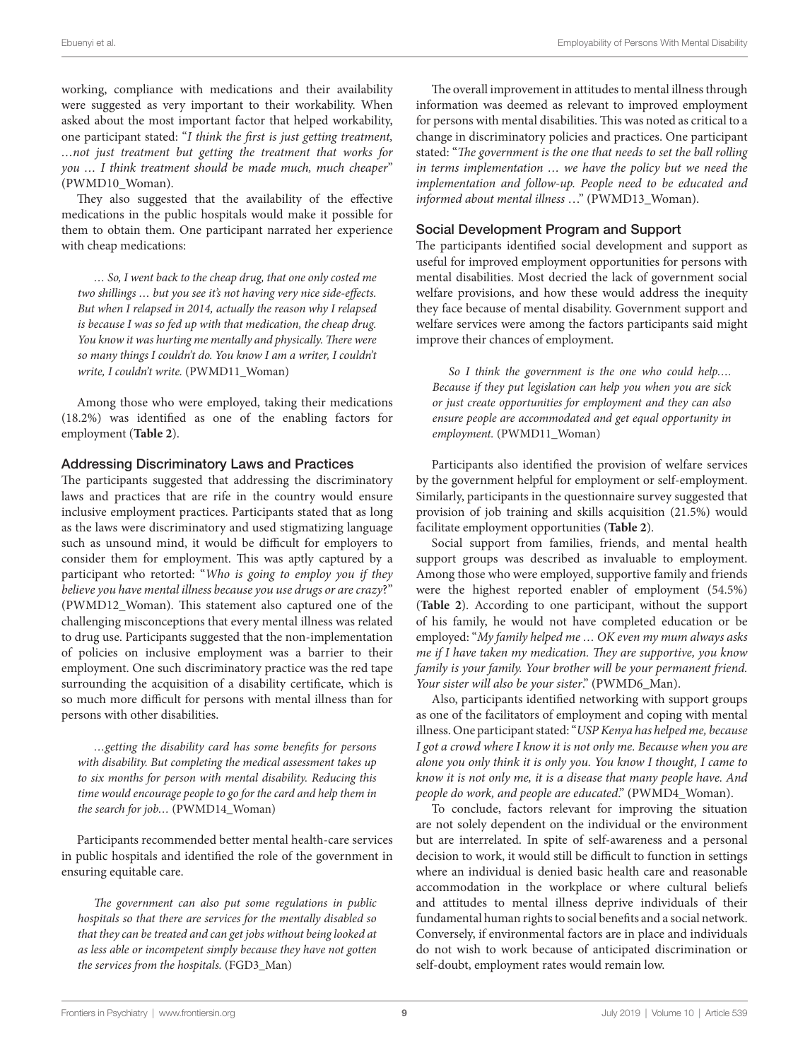working, compliance with medications and their availability were suggested as very important to their workability. When asked about the most important factor that helped workability, one participant stated: "*I think the first is just getting treatment, …not just treatment but getting the treatment that works for you … I think treatment should be made much, much cheaper*" (PWMD10\_Woman).

They also suggested that the availability of the effective medications in the public hospitals would make it possible for them to obtain them. One participant narrated her experience with cheap medications:

*… So, I went back to the cheap drug, that one only costed me two shillings … but you see it's not having very nice side-effects. But when I relapsed in 2014, actually the reason why I relapsed is because I was so fed up with that medication, the cheap drug. You know it was hurting me mentally and physically. There were so many things I couldn't do. You know I am a writer, I couldn't write, I couldn't write.* (PWMD11\_Woman)

Among those who were employed, taking their medications (18.2%) was identified as one of the enabling factors for employment (**[Table 2](#page-4-0)**).

#### Addressing Discriminatory Laws and Practices

The participants suggested that addressing the discriminatory laws and practices that are rife in the country would ensure inclusive employment practices. Participants stated that as long as the laws were discriminatory and used stigmatizing language such as unsound mind, it would be difficult for employers to consider them for employment. This was aptly captured by a participant who retorted: "*Who is going to employ you if they believe you have mental illness because you use drugs or are crazy*?" (PWMD12\_Woman). This statement also captured one of the challenging misconceptions that every mental illness was related to drug use. Participants suggested that the non-implementation of policies on inclusive employment was a barrier to their employment. One such discriminatory practice was the red tape surrounding the acquisition of a disability certificate, which is so much more difficult for persons with mental illness than for persons with other disabilities.

*…getting the disability card has some benefits for persons with disability. But completing the medical assessment takes up to six months for person with mental disability. Reducing this time would encourage people to go for the card and help them in the search for job…* (PWMD14\_Woman)

Participants recommended better mental health-care services in public hospitals and identified the role of the government in ensuring equitable care.

*The government can also put some regulations in public hospitals so that there are services for the mentally disabled so that they can be treated and can get jobs without being looked at as less able or incompetent simply because they have not gotten the services from the hospitals.* (FGD3\_Man)

The overall improvement in attitudes to mental illness through information was deemed as relevant to improved employment for persons with mental disabilities. This was noted as critical to a change in discriminatory policies and practices. One participant stated: "*The government is the one that needs to set the ball rolling in terms implementation … we have the policy but we need the implementation and follow-up. People need to be educated and informed about mental illness* …" (PWMD13\_Woman).

#### Social Development Program and Support

The participants identified social development and support as useful for improved employment opportunities for persons with mental disabilities. Most decried the lack of government social welfare provisions, and how these would address the inequity they face because of mental disability. Government support and welfare services were among the factors participants said might improve their chances of employment.

*So I think the government is the one who could help…. Because if they put legislation can help you when you are sick or just create opportunities for employment and they can also ensure people are accommodated and get equal opportunity in employment.* (PWMD11\_Woman)

Participants also identified the provision of welfare services by the government helpful for employment or self-employment. Similarly, participants in the questionnaire survey suggested that provision of job training and skills acquisition (21.5%) would facilitate employment opportunities (**[Table 2](#page-4-0)**).

Social support from families, friends, and mental health support groups was described as invaluable to employment. Among those who were employed, supportive family and friends were the highest reported enabler of employment (54.5%) (**[Table 2](#page-4-0)**). According to one participant, without the support of his family, he would not have completed education or be employed: "*My family helped me … OK even my mum always asks me if I have taken my medication. They are supportive, you know family is your family. Your brother will be your permanent friend. Your sister will also be your sister*." (PWMD6\_Man).

Also, participants identified networking with support groups as one of the facilitators of employment and coping with mental illness. One participant stated: "*USP Kenya has helped me, because I got a crowd where I know it is not only me. Because when you are alone you only think it is only you. You know I thought, I came to know it is not only me, it is a disease that many people have. And people do work, and people are educated*." (PWMD4\_Woman).

To conclude, factors relevant for improving the situation are not solely dependent on the individual or the environment but are interrelated. In spite of self-awareness and a personal decision to work, it would still be difficult to function in settings where an individual is denied basic health care and reasonable accommodation in the workplace or where cultural beliefs and attitudes to mental illness deprive individuals of their fundamental human rights to social benefits and a social network. Conversely, if environmental factors are in place and individuals do not wish to work because of anticipated discrimination or self-doubt, employment rates would remain low.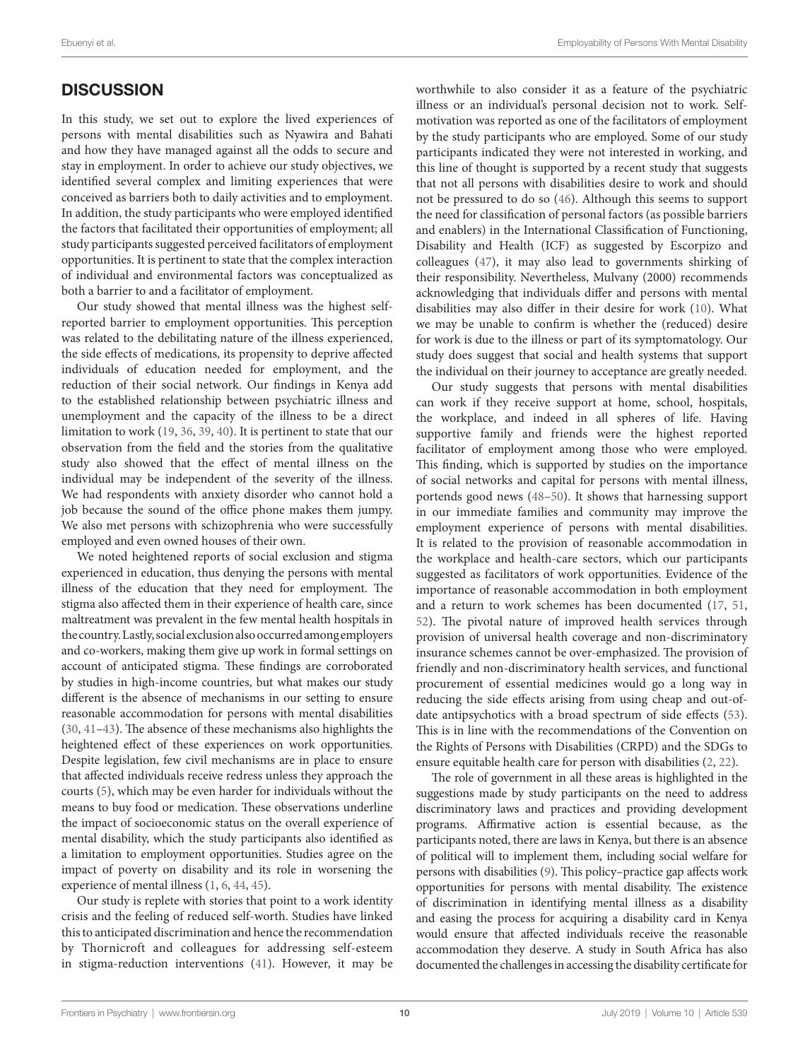## **DISCUSSION**

In this study, we set out to explore the lived experiences of persons with mental disabilities such as Nyawira and Bahati and how they have managed against all the odds to secure and stay in employment. In order to achieve our study objectives, we identified several complex and limiting experiences that were conceived as barriers both to daily activities and to employment. In addition, the study participants who were employed identified the factors that facilitated their opportunities of employment; all study participants suggested perceived facilitators of employment opportunities. It is pertinent to state that the complex interaction of individual and environmental factors was conceptualized as both a barrier to and a facilitator of employment.

Our study showed that mental illness was the highest selfreported barrier to employment opportunities. This perception was related to the debilitating nature of the illness experienced, the side effects of medications, its propensity to deprive affected individuals of education needed for employment, and the reduction of their social network. Our findings in Kenya add to the established relationship between psychiatric illness and unemployment and the capacity of the illness to be a direct limitation to work [\(19](#page-11-8), [36,](#page-11-25) [39](#page-11-28), [40\)](#page-11-29). It is pertinent to state that our observation from the field and the stories from the qualitative study also showed that the effect of mental illness on the individual may be independent of the severity of the illness. We had respondents with anxiety disorder who cannot hold a job because the sound of the office phone makes them jumpy. We also met persons with schizophrenia who were successfully employed and even owned houses of their own.

We noted heightened reports of social exclusion and stigma experienced in education, thus denying the persons with mental illness of the education that they need for employment. The stigma also affected them in their experience of health care, since maltreatment was prevalent in the few mental health hospitals in the country. Lastly, social exclusion also occurred among employers and co-workers, making them give up work in formal settings on account of anticipated stigma. These findings are corroborated by studies in high-income countries, but what makes our study different is the absence of mechanisms in our setting to ensure reasonable accommodation for persons with mental disabilities [\(30](#page-11-19), [41–](#page-11-30)[43\)](#page-11-31). The absence of these mechanisms also highlights the heightened effect of these experiences on work opportunities. Despite legislation, few civil mechanisms are in place to ensure that affected individuals receive redress unless they approach the courts [\(5\)](#page-10-4), which may be even harder for individuals without the means to buy food or medication. These observations underline the impact of socioeconomic status on the overall experience of mental disability, which the study participants also identified as a limitation to employment opportunities. Studies agree on the impact of poverty on disability and its role in worsening the experience of mental illness [\(1,](#page-10-0) [6](#page-10-1), [44,](#page-11-32) [45\)](#page-11-33).

Our study is replete with stories that point to a work identity crisis and the feeling of reduced self-worth. Studies have linked this to anticipated discrimination and hence the recommendation by Thornicroft and colleagues for addressing self-esteem in stigma-reduction interventions ([41\)](#page-11-30). However, it may be worthwhile to also consider it as a feature of the psychiatric illness or an individual's personal decision not to work. Selfmotivation was reported as one of the facilitators of employment by the study participants who are employed. Some of our study participants indicated they were not interested in working, and this line of thought is supported by a recent study that suggests that not all persons with disabilities desire to work and should not be pressured to do so ([46\)](#page-11-34). Although this seems to support the need for classification of personal factors (as possible barriers and enablers) in the International Classification of Functioning, Disability and Health (ICF) as suggested by Escorpizo and colleagues [\(47](#page-11-35)), it may also lead to governments shirking of their responsibility. Nevertheless, Mulvany (2000) recommends acknowledging that individuals differ and persons with mental disabilities may also differ in their desire for work ([10\)](#page-11-2). What we may be unable to confirm is whether the (reduced) desire for work is due to the illness or part of its symptomatology. Our study does suggest that social and health systems that support the individual on their journey to acceptance are greatly needed.

Our study suggests that persons with mental disabilities can work if they receive support at home, school, hospitals, the workplace, and indeed in all spheres of life. Having supportive family and friends were the highest reported facilitator of employment among those who were employed. This finding, which is supported by studies on the importance of social networks and capital for persons with mental illness, portends good news ([48](#page-11-36)[–50](#page-12-0)). It shows that harnessing support in our immediate families and community may improve the employment experience of persons with mental disabilities. It is related to the provision of reasonable accommodation in the workplace and health-care sectors, which our participants suggested as facilitators of work opportunities. Evidence of the importance of reasonable accommodation in both employment and a return to work schemes has been documented [\(17](#page-11-6), [51](#page-12-1), [52\)](#page-12-2). The pivotal nature of improved health services through provision of universal health coverage and non-discriminatory insurance schemes cannot be over-emphasized. The provision of friendly and non-discriminatory health services, and functional procurement of essential medicines would go a long way in reducing the side effects arising from using cheap and out-ofdate antipsychotics with a broad spectrum of side effects [\(53](#page-12-3)). This is in line with the recommendations of the Convention on the Rights of Persons with Disabilities (CRPD) and the SDGs to ensure equitable health care for person with disabilities ([2](#page-10-3), [22\)](#page-11-11).

The role of government in all these areas is highlighted in the suggestions made by study participants on the need to address discriminatory laws and practices and providing development programs. Affirmative action is essential because, as the participants noted, there are laws in Kenya, but there is an absence of political will to implement them, including social welfare for persons with disabilities [\(9\)](#page-11-1). This policy–practice gap affects work opportunities for persons with mental disability. The existence of discrimination in identifying mental illness as a disability and easing the process for acquiring a disability card in Kenya would ensure that affected individuals receive the reasonable accommodation they deserve. A study in South Africa has also documented the challenges in accessing the disability certificate for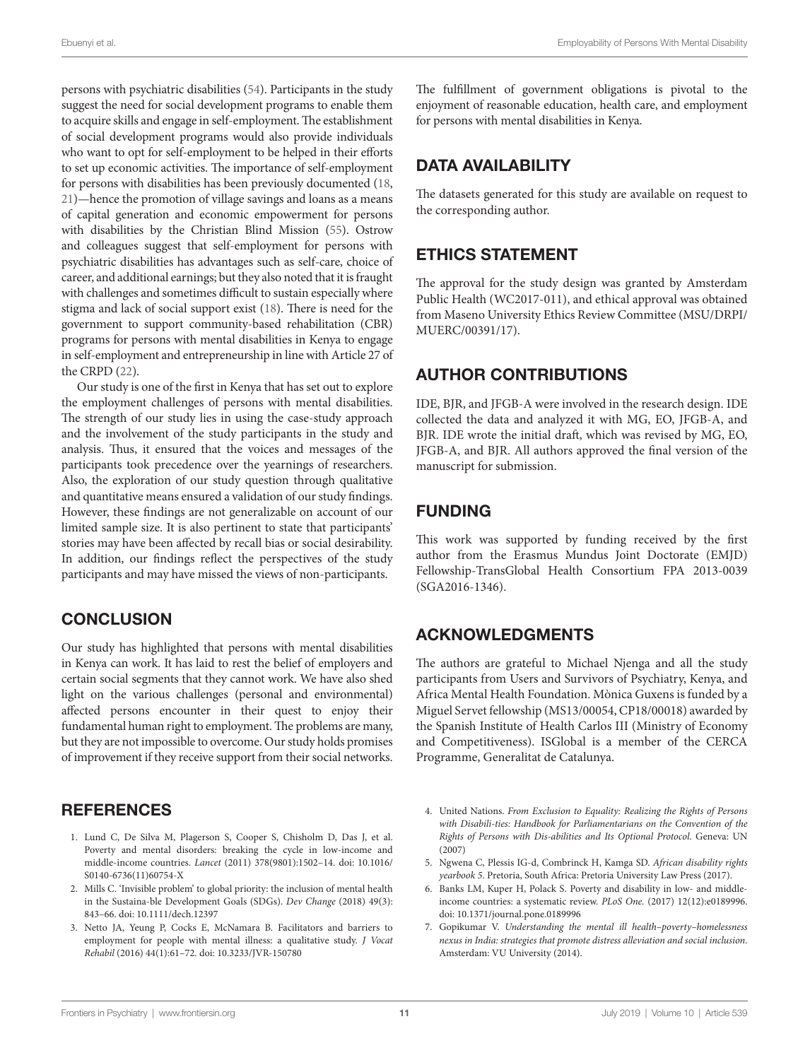persons with psychiatric disabilities [\(54](#page-12-4)). Participants in the study suggest the need for social development programs to enable them to acquire skills and engage in self-employment. The establishment of social development programs would also provide individuals who want to opt for self-employment to be helped in their efforts to set up economic activities. The importance of self-employment for persons with disabilities has been previously documented ([18,](#page-11-7) [21](#page-11-10))—hence the promotion of village savings and loans as a means of capital generation and economic empowerment for persons with disabilities by the Christian Blind Mission [\(55](#page-12-5)). Ostrow and colleagues suggest that self-employment for persons with psychiatric disabilities has advantages such as self-care, choice of career, and additional earnings; but they also noted that it is fraught with challenges and sometimes difficult to sustain especially where stigma and lack of social support exist [\(18](#page-11-7)). There is need for the government to support community-based rehabilitation (CBR) programs for persons with mental disabilities in Kenya to engage in self-employment and entrepreneurship in line with Article 27 of the CRPD [\(22](#page-11-11)).

Our study is one of the first in Kenya that has set out to explore the employment challenges of persons with mental disabilities. The strength of our study lies in using the case-study approach and the involvement of the study participants in the study and analysis. Thus, it ensured that the voices and messages of the participants took precedence over the yearnings of researchers. Also, the exploration of our study question through qualitative and quantitative means ensured a validation of our study findings. However, these findings are not generalizable on account of our limited sample size. It is also pertinent to state that participants' stories may have been affected by recall bias or social desirability. In addition, our findings reflect the perspectives of the study participants and may have missed the views of non-participants.

## **CONCLUSION**

Our study has highlighted that persons with mental disabilities in Kenya can work. It has laid to rest the belief of employers and certain social segments that they cannot work. We have also shed light on the various challenges (personal and environmental) affected persons encounter in their quest to enjoy their fundamental human right to employment. The problems are many, but they are not impossible to overcome. Our study holds promises of improvement if they receive support from their social networks.

## **REFERENCES**

- <span id="page-10-0"></span>1. Lund C, De Silva M, Plagerson S, Cooper S, Chisholm D, Das J, et al. Poverty and mental disorders: breaking the cycle in low-income and middle-income countries. *Lancet* (2011) 378(9801):1502–14. doi: [10.1016/](https://doi.org/10.1016/S0140-6736(11)60754-X) [S0140-6736\(11\)60754-X](https://doi.org/10.1016/S0140-6736(11)60754-X)
- <span id="page-10-3"></span>2. Mills C. 'Invisible problem' to global priority: the inclusion of mental health in the Sustaina-ble Development Goals (SDGs). *Dev Change* (2018) 49(3): 843–66. doi: [10.1111/dech.12397](http://doi.org/10.1111/dech.12397)
- 3. Netto JA, Yeung P, Cocks E, McNamara B. Facilitators and barriers to employment for people with mental illness: a qualitative study. *J Vocat Rehabil* (2016) 44(1):61–72. doi: [10.3233/JVR-150780](https://doi.org/10.3233/JVR-150780)

The fulfillment of government obligations is pivotal to the enjoyment of reasonable education, health care, and employment for persons with mental disabilities in Kenya.

## DATA AVAILABILITY

The datasets generated for this study are available on request to the corresponding author.

## ETHICS STATEMENT

The approval for the study design was granted by Amsterdam Public Health (WC2017-011), and ethical approval was obtained from Maseno University Ethics Review Committee (MSU/DRPI/ MUERC/00391/17).

## AUTHOR CONTRIBUTIONS

IDE, BJR, and JFGB-A were involved in the research design. IDE collected the data and analyzed it with MG, EO, JFGB-A, and BJR. IDE wrote the initial draft, which was revised by MG, EO, JFGB-A, and BJR. All authors approved the final version of the manuscript for submission.

## FUNDING

This work was supported by funding received by the first author from the Erasmus Mundus Joint Doctorate (EMJD) Fellowship-TransGlobal Health Consortium FPA 2013-0039 (SGA2016-1346).

## ACKNOWLEDGMENTS

The authors are grateful to Michael Njenga and all the study participants from Users and Survivors of Psychiatry, Kenya, and Africa Mental Health Foundation. Mònica Guxens is funded by a Miguel Servet fellowship (MS13/00054, CP18/00018) awarded by the Spanish Institute of Health Carlos III (Ministry of Economy and Competitiveness). ISGlobal is a member of the CERCA Programme, Generalitat de Catalunya.

- 4. United Nations. *From Exclusion to Equality: Realizing the Rights of Persons with Disabili-ties: Handbook for Parliamentarians on the Convention of the Rights of Persons with Dis-abilities and Its Optional Protocol*. Geneva: UN (2007)
- <span id="page-10-4"></span>5. Ngwena C, Plessis IG-d, Combrinck H, Kamga SD. *African disability rights yearbook 5*. Pretoria, South Africa: Pretoria University Law Press (2017).
- <span id="page-10-1"></span>6. Banks LM, Kuper H, Polack S. Poverty and disability in low- and middleincome countries: a systematic review. *PLoS One.* (2017) 12(12):e0189996. doi: [10.1371/journal.pone.0189996](https://doi.org/10.1371/journal.pone.0189996)
- <span id="page-10-2"></span>7. Gopikumar V. *Understanding the mental ill health–poverty–homelessness nexus in India: strategies that promote distress alleviation and social inclusion*. Amsterdam: VU University (2014).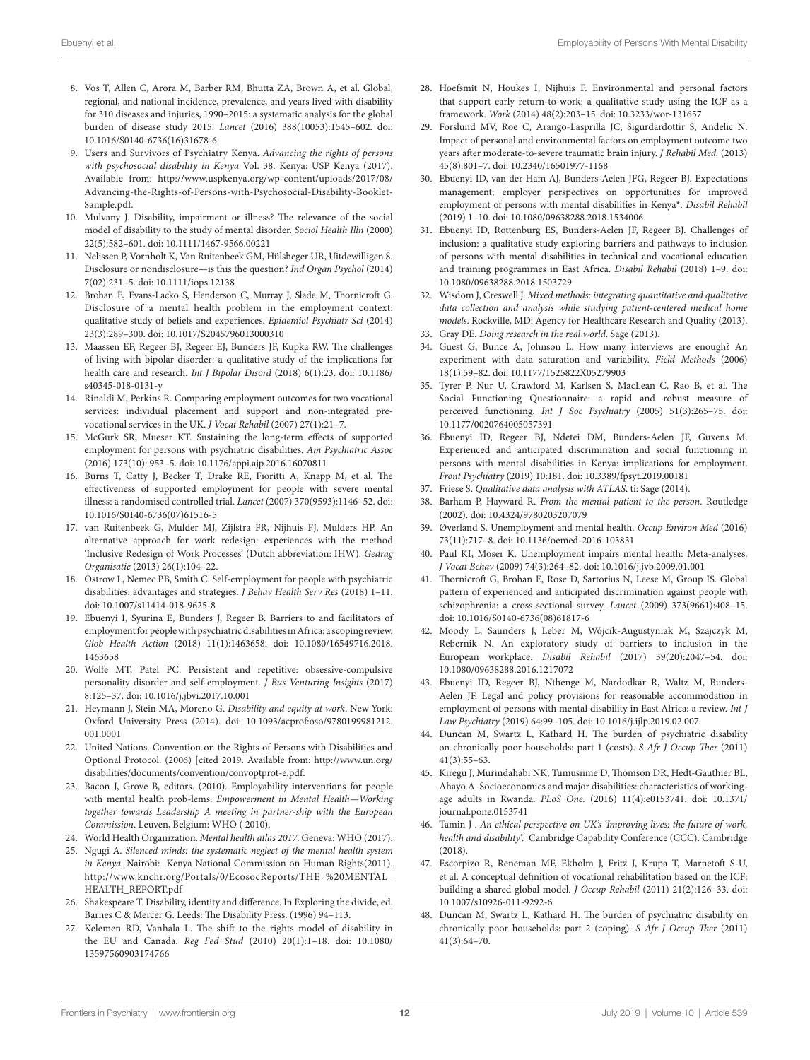- <span id="page-11-0"></span>8. Vos T, Allen C, Arora M, Barber RM, Bhutta ZA, Brown A, et al. Global, regional, and national incidence, prevalence, and years lived with disability for 310 diseases and injuries, 1990–2015: a systematic analysis for the global burden of disease study 2015. *Lancet* (2016) 388(10053):1545–602. doi: [10.1016/S0140-6736\(16\)31678-6](http://doi.org/10.1016/S0140-6736(16)31678-6)
- <span id="page-11-1"></span>9. Users and Survivors of Psychiatry Kenya. *Advancing the rights of persons with psychosocial disability in Kenya* Vol. 38. Kenya: USP Kenya (2017). Available from: [http://www.uspkenya.org/wp-content/uploads/2017/08/](http://www.uspkenya.org/wp-content/uploads/2017/08/Advancing-the-Rights-of-Persons-with-Psychosocial-Disability-Booklet-Sample.pdf) [Advancing-the-Rights-of-Persons-with-Psychosocial-Disability-Booklet-](http://www.uspkenya.org/wp-content/uploads/2017/08/Advancing-the-Rights-of-Persons-with-Psychosocial-Disability-Booklet-Sample.pdf)[Sample.pdf](http://www.uspkenya.org/wp-content/uploads/2017/08/Advancing-the-Rights-of-Persons-with-Psychosocial-Disability-Booklet-Sample.pdf).
- <span id="page-11-2"></span>10. Mulvany J. Disability, impairment or illness? The relevance of the social model of disability to the study of mental disorder. *Sociol Health Illn* (2000) 22(5):582–601. doi: [10.1111/1467-9566.00221](https://doi.org/10.1111/1467-9566.00221)
- <span id="page-11-3"></span>11. Nelissen P, Vornholt K, Van Ruitenbeek GM, Hülsheger UR, Uitdewilligen S. Disclosure or nondisclosure—is this the question? *Ind Organ Psychol* (2014) 7(02):231–5. doi: [10.1111/iops.12138](https://doi.org/10.1111/iops.12138)
- 12. Brohan E, Evans-Lacko S, Henderson C, Murray J, Slade M, Thornicroft G. Disclosure of a mental health problem in the employment context: qualitative study of beliefs and experiences. *Epidemiol Psychiatr Sci* (2014) 23(3):289–300. doi: [10.1017/S2045796013000310](https://doi.org/10.1017/S2045796013000310)
- <span id="page-11-4"></span>13. Maassen EF, Regeer BJ, Regeer EJ, Bunders JF, Kupka RW. The challenges of living with bipolar disorder: a qualitative study of the implications for health care and research. *Int J Bipolar Disord* (2018) 6(1):23. doi: [10.1186/](https://doi.org/10.1186/s40345-018-0131-y) [s40345-018-0131-y](https://doi.org/10.1186/s40345-018-0131-y)
- <span id="page-11-5"></span>14. Rinaldi M, Perkins R. Comparing employment outcomes for two vocational services: individual placement and support and non-integrated prevocational services in the UK. *J Vocat Rehabil* (2007) 27(1):21–7.
- 15. McGurk SR, Mueser KT. Sustaining the long-term effects of supported employment for persons with psychiatric disabilities. *Am Psychiatric Assoc*  (2016) 173(10): 953–5. doi: [10.1176/appi.ajp.2016.16070811](http://doi.org/10.1176/appi.ajp.2016.16070811)
- 16. Burns T, Catty J, Becker T, Drake RE, Fioritti A, Knapp M, et al. The effectiveness of supported employment for people with severe mental illness: a randomised controlled trial. *Lancet* (2007) 370(9593):1146–52. doi: [10.1016/S0140-6736\(07\)61516-5](https://doi.org/10.1016/S0140-6736(07)61516-5)
- <span id="page-11-6"></span>17. van Ruitenbeek G, Mulder MJ, Zijlstra FR, Nijhuis FJ, Mulders HP. An alternative approach for work redesign: experiences with the method 'Inclusive Redesign of Work Processes' (Dutch abbreviation: IHW). *Gedrag Organisatie* (2013) 26(1):104–22.
- <span id="page-11-7"></span>18. Ostrow L, Nemec PB, Smith C. Self-employment for people with psychiatric disabilities: advantages and strategies. *J Behav Health Serv Res* (2018) 1–11. doi: [10.1007/s11414-018-9625-8](https://doi.org/10.1007/s11414-018-9625-8)
- <span id="page-11-8"></span>19. Ebuenyi I, Syurina E, Bunders J, Regeer B. Barriers to and facilitators of employment for people with psychiatric disabilities in Africa: a scoping review. *Glob Health Action* (2018) 11(1):1463658. doi: [10.1080/16549716.2018.](https://doi.org/10.1080/16549716.2018.1463658) [1463658](https://doi.org/10.1080/16549716.2018.1463658)
- <span id="page-11-9"></span>20. Wolfe MT, Patel PC. Persistent and repetitive: obsessive-compulsive personality disorder and self-employment. *J Bus Venturing Insights* (2017) 8:125–37. doi: [10.1016/j.jbvi.2017.10.001](https://doi.org/10.1016/j.jbvi.2017.10.001)
- <span id="page-11-10"></span>21. Heymann J, Stein MA, Moreno G. *Disability and equity at work*. New York: Oxford University Press (2014). doi: [10.1093/acprof:oso/9780199981212.](http://doi.org/10.1093/acprof:oso/9780199981212.001.0001) [001.0001](http://doi.org/10.1093/acprof:oso/9780199981212.001.0001)
- <span id="page-11-11"></span>22. United Nations. Convention on the Rights of Persons with Disabilities and Optional Protocol. (2006) [cited 2019. Available from: [http://www.un.org/](http://www.un.org/ disabili-ties/documents/convention/convoptprot-e.pdf)  [disabilities/documents/convention/convoptprot-e.pdf.](http://www.un.org/ disabili-ties/documents/convention/convoptprot-e.pdf)
- <span id="page-11-12"></span>23. Bacon J, Grove B, editors. (2010). Employability interventions for people with mental health prob-lems. *Empowerment in Mental Health—Working together towards Leadership A meeting in partner-ship with the European Commission*. Leuven, Belgium: WHO ( 2010).
- <span id="page-11-13"></span>24. World Health Organization. *Mental health atlas 2017*. Geneva: WHO (2017).
- <span id="page-11-14"></span>25. Ngugi A. *Silenced minds: the systematic neglect of the mental health system in Kenya*. Nairobi: Kenya National Commission on Human Rights(2011). [http://www.knchr.org/Portals/0/EcosocReports/THE\\_%20MENTAL\\_](http://www.knchr.org/Por-tals/0/EcosocReports/THE_%20MENTAL_HEALTH_REPORT.pdf) [HEALTH\\_REPORT.pdf](http://www.knchr.org/Por-tals/0/EcosocReports/THE_%20MENTAL_HEALTH_REPORT.pdf)
- <span id="page-11-15"></span>26. Shakespeare T. Disability, identity and difference. In Exploring the divide, ed. Barnes C & Mercer G. Leeds: The Disability Press. (1996) 94–113.
- <span id="page-11-16"></span>27. Kelemen RD, Vanhala L. The shift to the rights model of disability in the EU and Canada. *Reg Fed Stud* (2010) 20(1):1–18. doi: [10.1080/](https://doi.org/10.1080/13597560903174766) [13597560903174766](https://doi.org/10.1080/13597560903174766)
- <span id="page-11-17"></span>28. Hoefsmit N, Houkes I, Nijhuis F. Environmental and personal factors that support early return-to-work: a qualitative study using the ICF as a framework. *Work* (2014) 48(2):203–15. doi: [10.3233/wor-131657](https://doi.org/10.3233/wor-131657)
- <span id="page-11-18"></span>29. Forslund MV, Roe C, Arango-Lasprilla JC, Sigurdardottir S, Andelic N. Impact of personal and environmental factors on employment outcome two years after moderate-to-severe traumatic brain injury. *J Rehabil Med.* (2013) 45(8):801–7. doi: [10.2340/16501977-1168](https://doi.org/10.2340/16501977-1168)
- <span id="page-11-19"></span>30. Ebuenyi ID, van der Ham AJ, Bunders-Aelen JFG, Regeer BJ. Expectations management; employer perspectives on opportunities for improved employment of persons with mental disabilities in Kenya\*. *Disabil Rehabil* (2019) 1–10. doi: [10.1080/09638288.2018.1534006](https://doi.org/10.1080/09638288.2018.1534006)
- <span id="page-11-20"></span>31. Ebuenyi ID, Rottenburg ES, Bunders-Aelen JF, Regeer BJ. Challenges of inclusion: a qualitative study exploring barriers and pathways to inclusion of persons with mental disabilities in technical and vocational education and training programmes in East Africa. *Disabil Rehabil* (2018) 1–9. doi: [10.1080/09638288.2018.1503729](https://doi.org/10.1080/09638288.2018.1503729)
- <span id="page-11-21"></span>32. Wisdom J, Creswell J. *Mixed methods: integrating quantitative and qualitative data collection and analysis while studying patient-centered medical home models*. Rockville, MD: Agency for Healthcare Research and Quality (2013).
- <span id="page-11-22"></span>33. Gray DE. *Doing research in the real world*. Sage (2013).
- <span id="page-11-23"></span>34. Guest G, Bunce A, Johnson L. How many interviews are enough? An experiment with data saturation and variability. *Field Methods* (2006) 18(1):59–82. doi: [10.1177/1525822X05279903](https://doi.org/10.1177/1525822X05279903)
- <span id="page-11-24"></span>35. Tyrer P, Nur U, Crawford M, Karlsen S, MacLean C, Rao B, et al. The Social Functioning Questionnaire: a rapid and robust measure of perceived functioning. *Int J Soc Psychiatry* (2005) 51(3):265–75. doi: [10.1177/0020764005057391](https://doi.org/10.1177/0020764005057391)
- <span id="page-11-25"></span>36. Ebuenyi ID, Regeer BJ, Ndetei DM, Bunders-Aelen JF, Guxens M. Experienced and anticipated discrimination and social functioning in persons with mental disabilities in Kenya: implications for employment. *Front Psychiatry* (2019) 10:181. doi: [10.3389/fpsyt.2019.00181](https://doi.org/10.3389/fpsyt.2019.00181)
- <span id="page-11-26"></span>37. Friese S. *Qualitative data analysis with ATLAS*. ti: Sage (2014).
- <span id="page-11-27"></span>38. Barham P, Hayward R. *From the mental patient to the person*. Routledge (2002). doi: [10.4324/9780203207079](https://doi.org/10.4324/9780203207079)
- <span id="page-11-28"></span>39. Øverland S. Unemployment and mental health. *Occup Environ Med* (2016) 73(11):717–8. doi: [10.1136/oemed-2016-103831](http://doi.org/10.1136/oemed-2016-103831)
- <span id="page-11-29"></span>40. Paul KI, Moser K. Unemployment impairs mental health: Meta-analyses. *J Vocat Behav* (2009) 74(3):264–82. doi: [10.1016/j.jvb.2009.01.001](http://doi.org/10.1016/j.jvb.2009.01.001)
- <span id="page-11-30"></span>41. Thornicroft G, Brohan E, Rose D, Sartorius N, Leese M, Group IS. Global pattern of experienced and anticipated discrimination against people with schizophrenia: a cross-sectional survey. *Lancet* (2009) 373(9661):408–15. doi: [10.1016/S0140-6736\(08\)61817-6](https://doi.org/10.1016/S0140-6736(08)61817-6)
- 42. Moody L, Saunders J, Leber M, Wójcik-Augustyniak M, Szajczyk M, Rebernik N. An exploratory study of barriers to inclusion in the European workplace. *Disabil Rehabil* (2017) 39(20):2047–54. doi: [10.1080/09638288.2016.1217072](https://doi.org/10.1080/09638288.2016.1217072)
- <span id="page-11-31"></span>43. Ebuenyi ID, Regeer BJ, Nthenge M, Nardodkar R, Waltz M, Bunders-Aelen JF. Legal and policy provisions for reasonable accommodation in employment of persons with mental disability in East Africa: a review. *Int J Law Psychiatry* (2019) 64:99–105. doi: [10.1016/j.ijlp.2019.02.007](https://doi.org/10.1016/j.ijlp.2019.02.007)
- <span id="page-11-32"></span>44. Duncan M, Swartz L, Kathard H. The burden of psychiatric disability on chronically poor households: part 1 (costs). *S Afr J Occup Ther* (2011) 41(3):55–63.
- <span id="page-11-33"></span>45. Kiregu J, Murindahabi NK, Tumusiime D, Thomson DR, Hedt-Gauthier BL, Ahayo A. Socioeconomics and major disabilities: characteristics of workingage adults in Rwanda. *PLoS One.* (2016) 11(4):e0153741. doi: [10.1371/](https://doi.org/10.1371/journal.pone.0153741) [journal.pone.0153741](https://doi.org/10.1371/journal.pone.0153741)
- <span id="page-11-34"></span>46. Tamin J . *An ethical perspective on UK's 'Improving lives: the future of work, health and disability'.* Cambridge Capability Conference (CCC). Cambridge (2018).
- <span id="page-11-35"></span>47. Escorpizo R, Reneman MF, Ekholm J, Fritz J, Krupa T, Marnetoft S-U, et al. A conceptual definition of vocational rehabilitation based on the ICF: building a shared global model. *J Occup Rehabil* (2011) 21(2):126–33. doi: [10.1007/s10926-011-9292-6](https://doi.org/10.1007/s10926-011-9292-6)
- <span id="page-11-36"></span>48. Duncan M, Swartz L, Kathard H. The burden of psychiatric disability on chronically poor households: part 2 (coping). *S Afr J Occup Ther* (2011) 41(3):64–70.